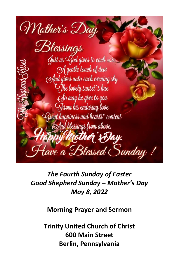

*The Fourth Sunday of Easter Good Shepherd Sunday – Mother's Day May 8, 2022*

**Morning Prayer and Sermon**

**Trinity United Church of Christ 600 Main Street Berlin, Pennsylvania**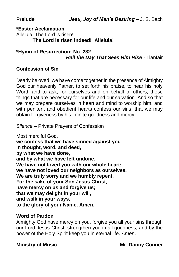**Prelude** *Jesu, Joy of Man's Desiring* – J. S. Bach

**\*Easter Acclamation** Alleluia! The Lord is risen! **The Lord is risen indeed! Alleluia!**

#### **\*Hymn of Resurrection: No. 232** *Hail the Day That Sees Him Rise* - Llanfair

## **Confession of Sin**

Dearly beloved, we have come together in the presence of Almighty God our heavenly Father, to set forth his praise, to hear his holy Word, and to ask, for ourselves and on behalf of others, those things that are necessary for our life and our salvation. And so that we may prepare ourselves in heart and mind to worship him, and with penitent and obedient hearts confess our sins, that we may obtain forgiveness by his infinite goodness and mercy.

*Silence* – Private Prayers of Confession

Most merciful God, **we confess that we have sinned against you in thought, word, and deed, by what we have done, and by what we have left undone. We have not loved you with our whole heart; we have not loved our neighbors as ourselves. We are truly sorry and we humbly repent. For the sake of your Son Jesus Christ, have mercy on us and forgive us; that we may delight in your will, and walk in your ways, to the glory of your Name. Amen.**

#### **Word of Pardon**

Almighty God have mercy on you, forgive you all your sins through our Lord Jesus Christ, strengthen you in all goodness, and by the power of the Holy Spirit keep you in eternal life. *Amen*.

**Ministry of Music Mr. Danny Conner**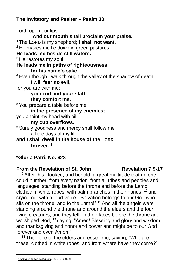## **The Invitatory and Psalter – Psalm 30**

Lord, open our lips. **And our mouth shall proclaim your praise. <sup>1</sup>** The LORD is my shepherd; **I shall not want. <sup>2</sup>** He makes me lie down in green pastures. **He leads me beside still waters. <sup>3</sup>** He restores my soul. **He leads me in paths of righteousness for his name's sake. <sup>4</sup>** Even though I walk through the valley of the shadow of death, **I will fear no evil,**  for you are with me; **your rod and your staff, they comfort me. <sup>5</sup>** You prepare a table before me **in the presence of my enemies;**  you anoint my head with oil; **my cup overflows. <sup>6</sup>** Surely goodness and mercy shall follow me all the days of my life, **and I shall dwell in the house of the LORD forever.** <sup>1</sup>

## **\*Gloria Patri: No. 623**

#### **From the Revelation of St. John Revelation 7:9-17**

**<sup>9</sup>** After this I looked, and behold, a great multitude that no one could number, from every nation, from all tribes and peoples and languages, standing before the throne and before the Lamb, clothed in white robes, with palm branches in their hands, **<sup>10</sup>** and crying out with a loud voice, "Salvation belongs to our God who sits on the throne, and to the Lamb!" **<sup>11</sup>** And all the angels were standing around the throne and around the elders and the four living creatures, and they fell on their faces before the throne and worshiped God, **<sup>12</sup>** saying, "Amen! Blessing and glory and wisdom and thanksgiving and honor and power and might be to our God forever and ever! Amen."

**<sup>13</sup>** Then one of the elders addressed me, saying, "Who are these, clothed in white robes, and from where have they come?"

<sup>&</sup>lt;sup>1</sup> [Revised Common Lectionary](https://ref.ly/logosres/rcl?ref=YearMonthDay.5-8-2022&off=224&ctx=43%0a+%0aPSALM%0aPsalm+23%0a~+%0aNEW+TESTAMENT%0aReve). (2009). Faithlife.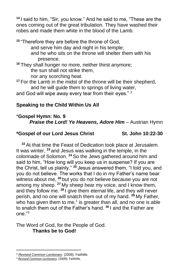**<sup>14</sup>** I said to him, "Sir, you know." And he said to me, "These are the ones coming out of the great tribulation. They have washed their robes and made them white in the blood of the Lamb.

**<sup>15</sup>** "Therefore they are before the throne of God, and serve him day and night in his temple; and he who sits on the throne will shelter them with his presence.

**<sup>16</sup>** They shall hunger no more, neither thirst anymore; the sun shall not strike them, nor any scorching heat.

**<sup>17</sup>** For the Lamb in the midst of the throne will be their shepherd, and he will quide them to springs of living water.

and God will wipe away every tear from their eyes."<sup>2</sup>

# **Speaking to the Child Within Us All**

# \***Gospel Hymn: No. 9**

*Praise the Lord! Ye Heavens, Adore Him* – Austrian Hymn

## **\*Gospel of our Lord Jesus Christ St. John 10:22-30**

**<sup>22</sup>** At that time the Feast of Dedication took place at Jerusalem. It was winter, **<sup>23</sup>** and Jesus was walking in the temple, in the colonnade of Solomon. **<sup>24</sup>** So the Jews gathered around him and said to him, "How long will you keep us in suspense? If you are the Christ, tell us plainly." **<sup>25</sup>** Jesus answered them, "I told you, and you do not believe. The works that I do in my Father's name bear witness about me, **<sup>26</sup>** but you do not believe because you are not among my sheep. **<sup>27</sup>** My sheep hear my voice, and I know them, and they follow me. **<sup>28</sup>** I give them eternal life, and they will never perish, and no one will snatch them out of my hand. **<sup>29</sup>** My Father, who has given them to me,*<sup>1</sup>* is greater than all, and no one is able to snatch them out of the Father's hand. **<sup>30</sup>** I and the Father are  $one<sup>73</sup>$ 

The Word of God, for the People of God. **Thanks be to God!**

<sup>2</sup> *[Revised Common Lectionary](https://ref.ly/logosres/rcl?ref=YearMonthDay.5-8-2022&off=258&ctx=T%0aRevelation+7:9%E2%80%9317%0a~+%0aGOSPEL%0aJohn+10:22%E2%80%93)*. (2009). Faithlife.

<sup>3</sup> *[Revised Common Lectionary](https://ref.ly/logosres/rcl?ref=YearMonthDay.5-8-2022&off=281&ctx=velation+7:9%E2%80%9317%0a+%0aGOSPEL%0aJohn+10:22%E2%80%9330%0a~+)*. (2009). Faithlife.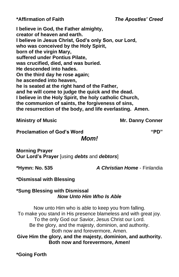**\*Affirmation of Faith** *The Apostles' Creed*

**I believe in God, the Father almighty, creator of heaven and earth. I believe in Jesus Christ, God's only Son, our Lord, who was conceived by the Holy Spirit, born of the virgin Mary, suffered under Pontius Pilate, was crucified, died, and was buried. He descended into hades. On the third day he rose again; he ascended into heaven, he is seated at the right hand of the Father, and he will come to judge the quick and the dead. I believe in the Holy Spirit, the holy catholic Church, the communion of saints, the forgiveness of sins, the resurrection of the body, and life everlasting. Amen.**

## **Ministry of Music Mr. Danny Conner**

**Proclamation of God's Word "PD"**

*Mom!*

**Morning Prayer Our Lord's Prayer** [using *debts* and *debtors*]

**\*Hymn: No. 535** *A Christian Home* - Finlandia

**\*Dismissal with Blessing**

#### **\*Sung Blessing with Dismissal** *Now Unto Him Who Is Able*

Now unto Him who is able to keep you from falling. To make you stand in His presence blameless and with great joy. To the only God our Savior, Jesus Christ our Lord. Be the glory, and the majesty, dominion, and authority. Both now and forevermore, Amen. **Give Him the glory, and the majesty, dominion, and authority. Both now and forevermore, Amen!**

**\*Going Forth**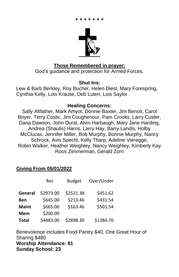

#### **Those Remembered in prayer:**

God's guidance and protection for Armed Forces.

#### **Shut Ins:**

Lew & Barb Berkley, Roy Bucher, Helen Diest, Mary Forespring, Cynthia Kelly, Lois Krause, Deb Luteri, Lois Saylor.

#### **Healing Concerns:**

Sally Altfather, Mark Amyot, Donnie Baxter, Jim Benoit, Carol Boyer, Terry Coslic, Jim Coughenour, Pam Crooks, Larry Custer, Dana Dawson, John Durst, Alvin Harbaugh, Mary Jane Harding, Andrea (Shaulis) Harris, Larry Hay, Barry Landis, Holby McClucas, Jennifer Miller, Bob Murphy, Bonnie Murphy, Nancy Schrock, Avis Specht, Kelly Tharp, Adeline Vieregge, Robin Walker, Heather Weighley, Nancy Weighley, Kimberly Kay Roos Zimmerman, Gerald Zorn

## **Giving From 05/01/2022**

|              | Rec       | <b>Budget</b> | Over/Under |
|--------------|-----------|---------------|------------|
| General      | \$2973.00 | \$2521.38     | \$451.62   |
| Ben          | \$645.00  | \$213.46      | \$431.54   |
| <b>Maint</b> | \$665.00  | \$163.46      | \$501.54   |
| Mem          | \$200.00  |               |            |
| <b>Total</b> | \$4483.00 | \$2898.30     | \$1384.70  |

Benevolence includes Food Pantry \$40, One Great Hour of Sharing \$480 **Worship Attendance: 81 Sunday School: 23**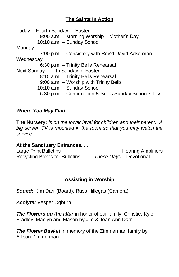## **The Saints In Action**

Today – Fourth Sunday of Easter 9:00 a.m. – Morning Worship – Mother's Day 10:10 a.m. – Sunday School Monday 7:00 p.m. – Consistory with Rev'd David Ackerman Wednesday 6:30 p.m. – Trinity Bells Rehearsal Next Sunday – Fifth Sunday of Easter 8:15 a.m. – Trinity Bells Rehearsal 9:00 a.m. – Worship with Trinity Bells 10:10 a.m. – Sunday School 6:30 p.m. – Confirmation & Sue's Sunday School Class

## *Where You May Find. . .*

**The Nursery:** *is on the lower level for children and their parent. A big screen TV is mounted in the room so that you may watch the service.*

#### **At the Sanctuary Entrances. . .**

Recycling Boxes for Bulletins *These Days –* Devotional

Large Print Bulletins **Example 20** Hearing Amplifiers

## **Assisting in Worship**

*Sound:* Jim Darr (Board), Russ Hillegas (Camera)

*Acolyte:* Vesper Ogburn

**The Flowers on the altar** in honor of our family, Christie, Kyle, Bradley, Maelyn and Mason by Jim & Jean Ann Darr

*The Flower Basket* in memory of the Zimmerman family by Allison Zimmerman